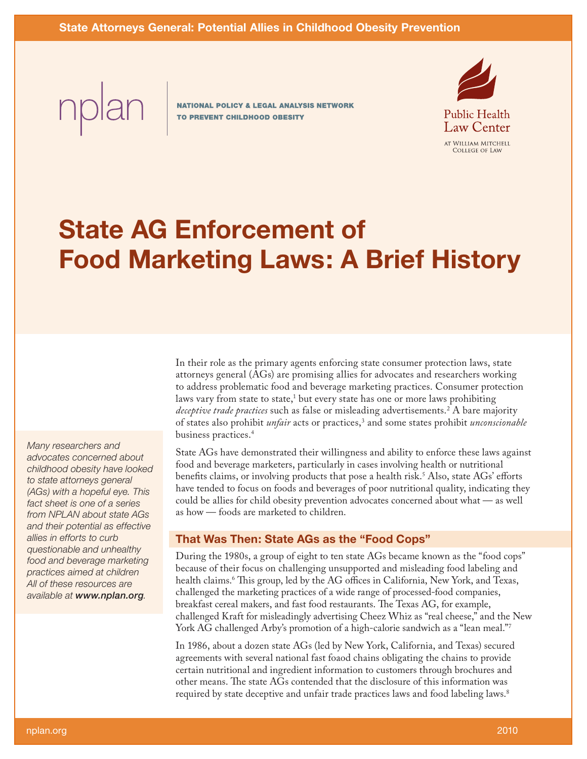**NATIONAL POLICY & LEGAL ANALYSIS NETWORK** TO PREVENT CHILDHOOD OBESITY



# **State AG Enforcement of Food Marketing Laws: A Brief History**

In their role as the primary agents enforcing state consumer protection laws, state attorneys general (AGs) are promising allies for advocates and researchers working to address problematic food and beverage marketing practices. Consumer protection laws vary from state to state,<sup>1</sup> but every state has one or more laws prohibiting *deceptive trade practices* such as false or misleading advertisements.2 A bare majority of states also prohibit *unfair* acts or practices,3 and some states prohibit *unconscionable* business practices.4

State AGs have demonstrated their willingness and ability to enforce these laws against food and beverage marketers, particularly in cases involving health or nutritional benefits claims, or involving products that pose a health risk.<sup>5</sup> Also, state AGs' efforts have tended to focus on foods and beverages of poor nutritional quality, indicating they could be allies for child obesity prevention advocates concerned about what — as well as how — foods are marketed to children.

# **That Was Then: State AGs as the "Food Cops"**

During the 1980s, a group of eight to ten state AGs became known as the "food cops" because of their focus on challenging unsupported and misleading food labeling and health claims.6 This group, led by the AG offices in California, New York, and Texas, challenged the marketing practices of a wide range of processed-food companies, breakfast cereal makers, and fast food restaurants. The Texas AG, for example, challenged Kraft for misleadingly advertising Cheez Whiz as "real cheese," and the New York AG challenged Arby's promotion of a high-calorie sandwich as a "lean meal."7

In 1986, about a dozen state AGs (led by New York, California, and Texas) secured agreements with several national fast foaod chains obligating the chains to provide certain nutritional and ingredient information to customers through brochures and other means. The state AGs contended that the disclosure of this information was required by state deceptive and unfair trade practices laws and food labeling laws.8

*Many researchers and advocates concerned about childhood obesity have looked to state attorneys general (AGs) with a hopeful eye. This fact sheet is one of a series from NPLAN about state AGs and their potential as effective allies in efforts to curb questionable and unhealthy food and beverage marketing practices aimed at children All of these resources are available at www.nplan.org.*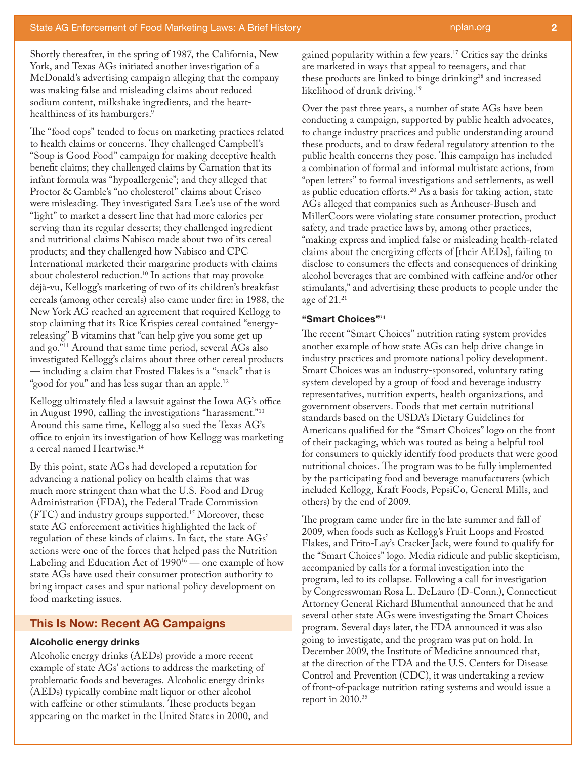Shortly thereafter, in the spring of 1987, the California, New York, and Texas AGs initiated another investigation of a McDonald's advertising campaign alleging that the company was making false and misleading claims about reduced sodium content, milkshake ingredients, and the hearthealthiness of its hamburgers.<sup>9</sup>

The "food cops" tended to focus on marketing practices related to health claims or concerns. They challenged Campbell's "Soup is Good Food" campaign for making deceptive health benefit claims; they challenged claims by Carnation that its infant formula was "hypoallergenic"; and they alleged that Proctor & Gamble's "no cholesterol" claims about Crisco were misleading. They investigated Sara Lee's use of the word "light" to market a dessert line that had more calories per serving than its regular desserts; they challenged ingredient and nutritional claims Nabisco made about two of its cereal products; and they challenged how Nabisco and CPC International marketed their margarine products with claims about cholesterol reduction.10 In actions that may provoke déjà-vu, Kellogg's marketing of two of its children's breakfast cereals (among other cereals) also came under fire: in 1988, the New York AG reached an agreement that required Kellogg to stop claiming that its Rice Krispies cereal contained "energyreleasing" B vitamins that "can help give you some get up and go."11 Around that same time period, several AGs also investigated Kellogg's claims about three other cereal products — including a claim that Frosted Flakes is a "snack" that is "good for you" and has less sugar than an apple.<sup>12</sup>

Kellogg ultimately filed a lawsuit against the Iowa AG's office in August 1990, calling the investigations "harassment."13 Around this same time, Kellogg also sued the Texas AG's office to enjoin its investigation of how Kellogg was marketing a cereal named Heartwise.14

By this point, state AGs had developed a reputation for advancing a national policy on health claims that was much more stringent than what the U.S. Food and Drug Administration (FDA), the Federal Trade Commission (FTC) and industry groups supported.15 Moreover, these state AG enforcement activities highlighted the lack of regulation of these kinds of claims. In fact, the state AGs' actions were one of the forces that helped pass the Nutrition Labeling and Education Act of 1990<sup>16</sup> — one example of how state AGs have used their consumer protection authority to bring impact cases and spur national policy development on food marketing issues.

### **This Is Now: Recent AG Campaigns**

#### **Alcoholic energy drinks**

Alcoholic energy drinks (AEDs) provide a more recent example of state AGs' actions to address the marketing of problematic foods and beverages. Alcoholic energy drinks (AEDs) typically combine malt liquor or other alcohol with caffeine or other stimulants. These products began appearing on the market in the United States in 2000, and gained popularity within a few years.17 Critics say the drinks are marketed in ways that appeal to teenagers, and that these products are linked to binge drinking<sup>18</sup> and increased likelihood of drunk driving.19

Over the past three years, a number of state AGs have been conducting a campaign, supported by public health advocates, to change industry practices and public understanding around these products, and to draw federal regulatory attention to the public health concerns they pose. This campaign has included a combination of formal and informal multistate actions, from "open letters" to formal investigations and settlements, as well as public education efforts.20 As a basis for taking action, state AGs alleged that companies such as Anheuser-Busch and MillerCoors were violating state consumer protection, product safety, and trade practice laws by, among other practices, "making express and implied false or misleading health-related claims about the energizing effects of [their AEDs], failing to disclose to consumers the effects and consequences of drinking alcohol beverages that are combined with caffeine and/or other stimulants," and advertising these products to people under the age of 21.21

#### **"Smart Choices"**<sup>34</sup>

The recent "Smart Choices" nutrition rating system provides another example of how state AGs can help drive change in industry practices and promote national policy development. Smart Choices was an industry-sponsored, voluntary rating system developed by a group of food and beverage industry representatives, nutrition experts, health organizations, and government observers. Foods that met certain nutritional standards based on the USDA's Dietary Guidelines for Americans qualified for the "Smart Choices" logo on the front of their packaging, which was touted as being a helpful tool for consumers to quickly identify food products that were good nutritional choices. The program was to be fully implemented by the participating food and beverage manufacturers (which included Kellogg, Kraft Foods, PepsiCo, General Mills, and others) by the end of 2009.

The program came under fire in the late summer and fall of 2009, when foods such as Kellogg's Fruit Loops and Frosted Flakes, and Frito-Lay's Cracker Jack, were found to qualify for the "Smart Choices" logo. Media ridicule and public skepticism, accompanied by calls for a formal investigation into the program, led to its collapse. Following a call for investigation by Congresswoman Rosa L. DeLauro (D-Conn.), Connecticut Attorney General Richard Blumenthal announced that he and several other state AGs were investigating the Smart Choices program. Several days later, the FDA announced it was also going to investigate, and the program was put on hold. In December 2009, the Institute of Medicine announced that, at the direction of the FDA and the U.S. Centers for Disease Control and Prevention (CDC), it was undertaking a review of front-of-package nutrition rating systems and would issue a report in 2010.<sup>35</sup>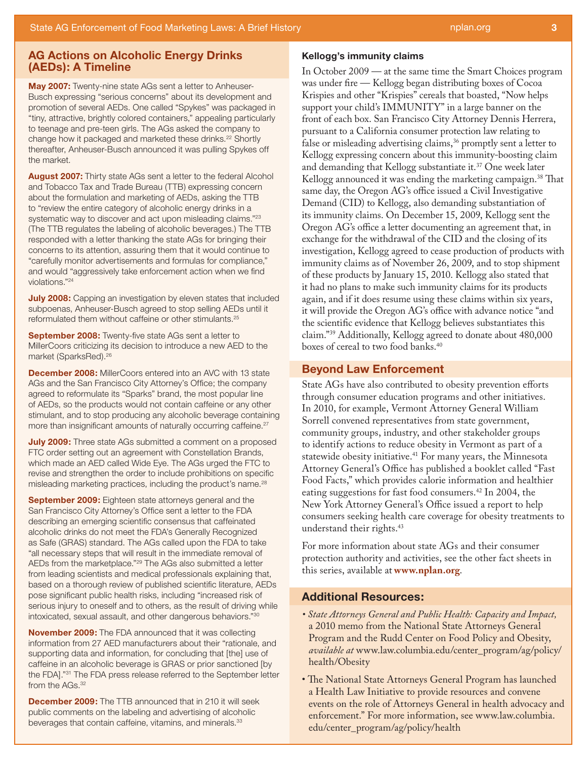# **AG Actions on Alcoholic Energy Drinks (AEDs): A Timeline**

**May 2007:** Twenty-nine state AGs sent a letter to Anheuser-Busch expressing "serious concerns" about its development and promotion of several AEDs. One called "Spykes" was packaged in "tiny, attractive, brightly colored containers," appealing particularly to teenage and pre-teen girls. The AGs asked the company to change how it packaged and marketed these drinks.<sup>22</sup> Shortly thereafter, Anheuser-Busch announced it was pulling Spykes off the market.

**August 2007:** Thirty state AGs sent a letter to the federal Alcohol and Tobacco Tax and Trade Bureau (TTB) expressing concern about the formulation and marketing of AEDs, asking the TTB to "review the entire category of alcoholic energy drinks in a systematic way to discover and act upon misleading claims."<sup>23</sup> (The TTB regulates the labeling of alcoholic beverages.) The TTB responded with a letter thanking the state AGs for bringing their concerns to its attention, assuring them that it would continue to "carefully monitor advertisements and formulas for compliance," and would "aggressively take enforcement action when we find violations."24

**July 2008:** Capping an investigation by eleven states that included subpoenas, Anheuser-Busch agreed to stop selling AEDs until it reformulated them without caffeine or other stimulants.25

**September 2008:** Twenty-five state AGs sent a letter to MillerCoors criticizing its decision to introduce a new AED to the market (SparksRed).26

**December 2008:** MillerCoors entered into an AVC with 13 state AGs and the San Francisco City Attorney's Office; the company agreed to reformulate its "Sparks" brand, the most popular line of AEDs, so the products would not contain caffeine or any other stimulant, and to stop producing any alcoholic beverage containing more than insignificant amounts of naturally occurring caffeine.<sup>27</sup>

**July 2009:** Three state AGs submitted a comment on a proposed FTC order setting out an agreement with Constellation Brands, which made an AED called Wide Eye. The AGs urged the FTC to revise and strengthen the order to include prohibitions on specific misleading marketing practices, including the product's name.28

**September 2009:** Eighteen state attorneys general and the San Francisco City Attorney's Office sent a letter to the FDA describing an emerging scientific consensus that caffeinated alcoholic drinks do not meet the FDA's Generally Recognized as Safe (GRAS) standard. The AGs called upon the FDA to take "all necessary steps that will result in the immediate removal of AEDs from the marketplace."29 The AGs also submitted a letter from leading scientists and medical professionals explaining that, based on a thorough review of published scientific literature, AEDs pose significant public health risks, including "increased risk of serious injury to oneself and to others, as the result of driving while intoxicated, sexual assault, and other dangerous behaviors."30

**November 2009:** The FDA announced that it was collecting information from 27 AED manufacturers about their "rationale, and supporting data and information, for concluding that [the] use of caffeine in an alcoholic beverage is GRAS or prior sanctioned [by the FDA]."31 The FDA press release referred to the September letter from the AGs.<sup>32</sup>

**December 2009:** The TTB announced that in 210 it will seek public comments on the labeling and advertising of alcoholic beverages that contain caffeine, vitamins, and minerals.<sup>33</sup>

#### **Kellogg's immunity claims**

In October 2009 — at the same time the Smart Choices program was under fire — Kellogg began distributing boxes of Cocoa Krispies and other "Krispies" cereals that boasted, "Now helps support your child's IMMUNITY" in a large banner on the front of each box. San Francisco City Attorney Dennis Herrera, pursuant to a California consumer protection law relating to false or misleading advertising claims,<sup>36</sup> promptly sent a letter to Kellogg expressing concern about this immunity-boosting claim and demanding that Kellogg substantiate it.<sup>37</sup> One week later Kellogg announced it was ending the marketing campaign.<sup>38</sup> That same day, the Oregon AG's office issued a Civil Investigative Demand (CID) to Kellogg, also demanding substantiation of its immunity claims. On December 15, 2009, Kellogg sent the Oregon AG's office a letter documenting an agreement that, in exchange for the withdrawal of the CID and the closing of its investigation, Kellogg agreed to cease production of products with immunity claims as of November 26, 2009, and to stop shipment of these products by January 15, 2010. Kellogg also stated that it had no plans to make such immunity claims for its products again, and if it does resume using these claims within six years, it will provide the Oregon AG's office with advance notice "and the scientific evidence that Kellogg believes substantiates this claim."39 Additionally, Kellogg agreed to donate about 480,000 boxes of cereal to two food banks.40

# **Beyond Law Enforcement**

State AGs have also contributed to obesity prevention efforts through consumer education programs and other initiatives. In 2010, for example, Vermont Attorney General William Sorrell convened representatives from state government, community groups, industry, and other stakeholder groups to identify actions to reduce obesity in Vermont as part of a statewide obesity initiative.<sup>41</sup> For many years, the Minnesota Attorney General's Office has published a booklet called "Fast Food Facts," which provides calorie information and healthier eating suggestions for fast food consumers.42 In 2004, the New York Attorney General's Office issued a report to help consumers seeking health care coverage for obesity treatments to understand their rights.43

For more information about state AGs and their consumer protection authority and activities, see the other fact sheets in this series, available at **www.nplan.org**.

## **Additional Resources:**

- *State Attorneys General and Public Health: Capacity and Impact,*  a 2010 memo from the National State Attorneys General Program and the Rudd Center on Food Policy and Obesity, *available at* www.law.columbia.edu/center\_program/ag/policy/ health/Obesity
- The National State Attorneys General Program has launched a Health Law Initiative to provide resources and convene events on the role of Attorneys General in health advocacy and enforcement." For more information, see www.law.columbia. edu/center\_program/ag/policy/health